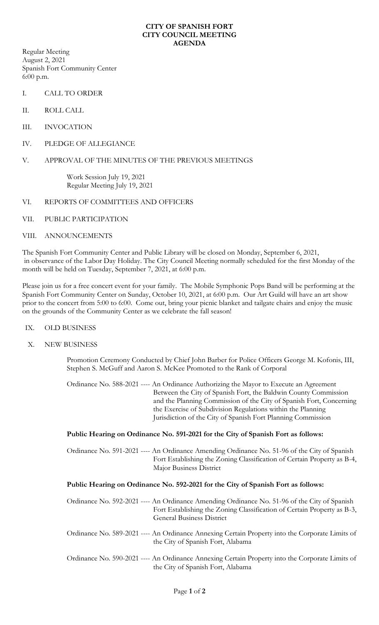## **CITY OF SPANISH FORT CITY COUNCIL MEETING AGENDA**

Regular Meeting August 2, 2021 Spanish Fort Community Center 6:00 p.m.

- I. CALL TO ORDER
- II. ROLL CALL
- III. INVOCATION
- IV. PLEDGE OF ALLEGIANCE
- V. APPROVAL OF THE MINUTES OF THE PREVIOUS MEETINGS

Work Session July 19, 2021 Regular Meeting July 19, 2021

- VI. REPORTS OF COMMITTEES AND OFFICERS
- VII. PUBLIC PARTICIPATION
- VIII. ANNOUNCEMENTS

The Spanish Fort Community Center and Public Library will be closed on Monday, September 6, 2021, in observance of the Labor Day Holiday. The City Council Meeting normally scheduled for the first Monday of the month will be held on Tuesday, September 7, 2021, at 6:00 p.m.

Please join us for a free concert event for your family. The Mobile Symphonic Pops Band will be performing at the Spanish Fort Community Center on Sunday, October 10, 2021, at 6:00 p.m. Our Art Guild will have an art show prior to the concert from 5:00 to 6:00. Come out, bring your picnic blanket and tailgate chairs and enjoy the music on the grounds of the Community Center as we celebrate the fall season!

## IX. OLD BUSINESS

X. NEW BUSINESS

Promotion Ceremony Conducted by Chief John Barber for Police Officers George M. Kofonis, III, Stephen S. McGuff and Aaron S. McKee Promoted to the Rank of Corporal

Ordinance No. 588-2021 ---- An Ordinance Authorizing the Mayor to Execute an Agreement Between the City of Spanish Fort, the Baldwin County Commission and the Planning Commission of the City of Spanish Fort, Concerning the Exercise of Subdivision Regulations within the Planning Jurisdiction of the City of Spanish Fort Planning Commission

## **Public Hearing on Ordinance No. 591-2021 for the City of Spanish Fort as follows:**

Ordinance No. 591-2021 ---- An Ordinance Amending Ordinance No. 51-96 of the City of Spanish Fort Establishing the Zoning Classification of Certain Property as B-4, Major Business District

## **Public Hearing on Ordinance No. 592-2021 for the City of Spanish Fort as follows:**

| Ordinance No. 592-2021 ---- An Ordinance Amending Ordinance No. 51-96 of the City of Spanish |
|----------------------------------------------------------------------------------------------|
| Fort Establishing the Zoning Classification of Certain Property as B-3,                      |
| <b>General Business District</b>                                                             |
|                                                                                              |

- Ordinance No. 589-2021 ---- An Ordinance Annexing Certain Property into the Corporate Limits of the City of Spanish Fort, Alabama
- Ordinance No. 590-2021 ---- An Ordinance Annexing Certain Property into the Corporate Limits of the City of Spanish Fort, Alabama